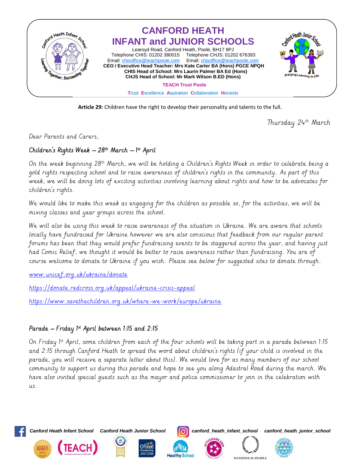

**Article 29:** Children have the right to develop their personality and talents to the full.

Thursday 24th March

Dear Parents and Carers,

## Children's Rights Week – 28th March – 1st April

On the week beginning 28th March, we will be holding a Children's Rights Week in order to celebrate being a gold rights respecting school and to raise awareness of children's rights in the community. As part of this week, we will be doing lots of exciting activities involving learning about rights and how to be advocates for children's rights.

We would like to make this week as engaging for the children as possible so, for the activities, we will be mixing classes and year groups across the school.

We will also be using this week to raise awareness of the situation in Ukraine. We are aware that schools locally have fundraised for Ukraine however we are also conscious that feedback from our regular parent forums has been that they would prefer fundraising events to be staggered across the year, and having just had Comic Relief, we thought it would be better to raise awareness rather than fundraising. You are of course welcome to donate to Ukraine if you wish. Please see below for suggested sites to donate through.

[www.unicef.org.uk/ukraine/donate](http://www.unicef.org.uk/ukraine/donate)

<https://donate.redcross.org.uk/appeal/ukraine-crisis-appeal>

<https://www.savethechildren.org.uk/where-we-work/europe/ukraine>

## Parade – Friday 1st April between 1:15 and 2:15

On Friday 1st April, some children from each of the four schools will be taking part in a parade between 1:15 and 2:15 through Canford Heath to spread the word about children's rights (if your child is involved in the parade, you will receive a separate letter about this). We would love for as many members of our school community to support us during this parade and hope to see you along Adastral Road during the march. We have also invited special guests such as the mayor and police commissioner to join in the celebration with  $115$ 



**(TEACH** 









**INVESTOR IN PEOPLE**